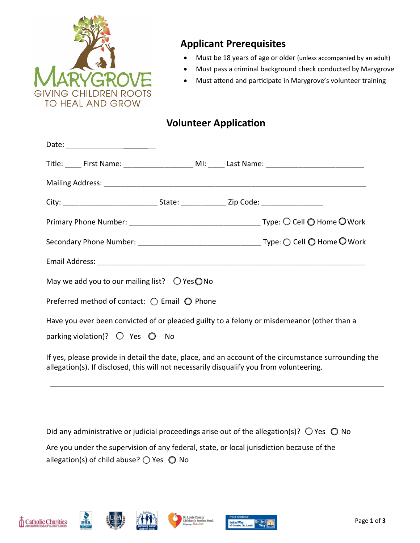

# **Applicant Prerequisites**

- Must be 18 years of age or older (unless accompanied by an adult)
- Must pass a criminal background check conducted by Marygrove
- Must attend and participate in Marygrove's volunteer training

# **Volunteer Application**

| Title: _____ First Name: _______________________ MI: _____ Last Name: ______________________________                                           |  |  |
|------------------------------------------------------------------------------------------------------------------------------------------------|--|--|
|                                                                                                                                                |  |  |
|                                                                                                                                                |  |  |
|                                                                                                                                                |  |  |
|                                                                                                                                                |  |  |
|                                                                                                                                                |  |  |
| May we add you to our mailing list? $\bigcirc$ Yes $\bigcirc$ No                                                                               |  |  |
| Preferred method of contact: $\bigcirc$ Email $\bigcirc$ Phone                                                                                 |  |  |
| Have you ever been convicted of or pleaded guilty to a felony or misdemeanor (other than a<br>parking violation)? $\bigcirc$ Yes $\bigcirc$ No |  |  |
| If yes, please provide in detail the date, place, and an account of the circumstance surrounding t                                             |  |  |

If yes, please provide in detail the date, place, and an account of the circumstance surrounding the allegation(s). If disclosed, this will not necessarily disqualify you from volunteering.

Did any administrative or judicial proceedings arise out of the allegation(s)?  $\bigcirc$  Yes  $\bigcirc$  No Are you under the supervision of any federal, state, or local jurisdiction because of the allegation(s) of child abuse?  $\bigcirc$  Yes  $\bigcirc$  No







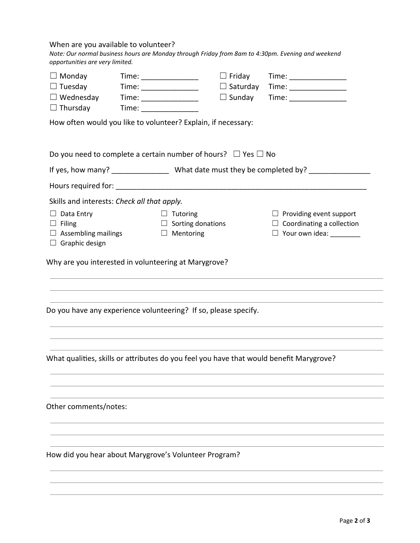## When are you available to volunteer?

| Note: Our normal business hours are Monday through Friday from 8am to 4:30pm. Evening and weekend |
|---------------------------------------------------------------------------------------------------|
| opportunities are very limited.                                                                   |

| $\Box$ Monday                                                           | Time: _________________                                                                                                                                                                                                                                                                                                                                                                                       | $\Box$ Friday   | Time: _________________                                                                 |
|-------------------------------------------------------------------------|---------------------------------------------------------------------------------------------------------------------------------------------------------------------------------------------------------------------------------------------------------------------------------------------------------------------------------------------------------------------------------------------------------------|-----------------|-----------------------------------------------------------------------------------------|
| $\Box$ Tuesday                                                          | Time: $\frac{1}{\sqrt{1-\frac{1}{2}}\sqrt{1-\frac{1}{2}}\sqrt{1-\frac{1}{2}}\sqrt{1-\frac{1}{2}}\sqrt{1-\frac{1}{2}}\sqrt{1-\frac{1}{2}}\sqrt{1-\frac{1}{2}}\sqrt{1-\frac{1}{2}}\sqrt{1-\frac{1}{2}}\sqrt{1-\frac{1}{2}}\sqrt{1-\frac{1}{2}}\sqrt{1-\frac{1}{2}}\sqrt{1-\frac{1}{2}}\sqrt{1-\frac{1}{2}}\sqrt{1-\frac{1}{2}}\sqrt{1-\frac{1}{2}}\sqrt{1-\frac{1}{2}}\sqrt{1-\frac{1}{2}}\sqrt{1-\frac{1}{2}}$ | $\Box$ Saturday | $Time: \underline{\hspace{2cm} \qquad \qquad }$                                         |
| $\Box$ Wednesday                                                        | Time: ________________                                                                                                                                                                                                                                                                                                                                                                                        | $\Box$ Sunday   | Time: __________________                                                                |
| $\Box$ Thursday                                                         |                                                                                                                                                                                                                                                                                                                                                                                                               |                 |                                                                                         |
| How often would you like to volunteer? Explain, if necessary:           |                                                                                                                                                                                                                                                                                                                                                                                                               |                 |                                                                                         |
| Do you need to complete a certain number of hours? $\Box$ Yes $\Box$ No |                                                                                                                                                                                                                                                                                                                                                                                                               |                 |                                                                                         |
|                                                                         |                                                                                                                                                                                                                                                                                                                                                                                                               |                 |                                                                                         |
|                                                                         |                                                                                                                                                                                                                                                                                                                                                                                                               |                 |                                                                                         |
| Skills and interests: Check all that apply.                             |                                                                                                                                                                                                                                                                                                                                                                                                               |                 |                                                                                         |
| $\Box$ Data Entry                                                       | $\Box$ Tutoring                                                                                                                                                                                                                                                                                                                                                                                               |                 | $\Box$ Providing event support                                                          |
| $\Box$ Filing                                                           | $\Box$ Sorting donations                                                                                                                                                                                                                                                                                                                                                                                      |                 | $\Box$ Coordinating a collection                                                        |
| $\Box$ Assembling mailings<br>$\Box$ Graphic design                     | $\Box$ Mentoring                                                                                                                                                                                                                                                                                                                                                                                              |                 | $\Box$ Your own idea:                                                                   |
|                                                                         |                                                                                                                                                                                                                                                                                                                                                                                                               |                 |                                                                                         |
| Why are you interested in volunteering at Marygrove?                    |                                                                                                                                                                                                                                                                                                                                                                                                               |                 |                                                                                         |
|                                                                         |                                                                                                                                                                                                                                                                                                                                                                                                               |                 |                                                                                         |
|                                                                         |                                                                                                                                                                                                                                                                                                                                                                                                               |                 |                                                                                         |
| Do you have any experience volunteering? If so, please specify.         |                                                                                                                                                                                                                                                                                                                                                                                                               |                 |                                                                                         |
|                                                                         |                                                                                                                                                                                                                                                                                                                                                                                                               |                 |                                                                                         |
|                                                                         |                                                                                                                                                                                                                                                                                                                                                                                                               |                 |                                                                                         |
|                                                                         |                                                                                                                                                                                                                                                                                                                                                                                                               |                 | What qualities, skills or attributes do you feel you have that would benefit Marygrove? |
|                                                                         |                                                                                                                                                                                                                                                                                                                                                                                                               |                 |                                                                                         |
|                                                                         |                                                                                                                                                                                                                                                                                                                                                                                                               |                 |                                                                                         |
| Other comments/notes:                                                   |                                                                                                                                                                                                                                                                                                                                                                                                               |                 |                                                                                         |
|                                                                         |                                                                                                                                                                                                                                                                                                                                                                                                               |                 |                                                                                         |
|                                                                         |                                                                                                                                                                                                                                                                                                                                                                                                               |                 |                                                                                         |
| How did you hear about Marygrove's Volunteer Program?                   |                                                                                                                                                                                                                                                                                                                                                                                                               |                 |                                                                                         |
|                                                                         |                                                                                                                                                                                                                                                                                                                                                                                                               |                 |                                                                                         |
|                                                                         |                                                                                                                                                                                                                                                                                                                                                                                                               |                 |                                                                                         |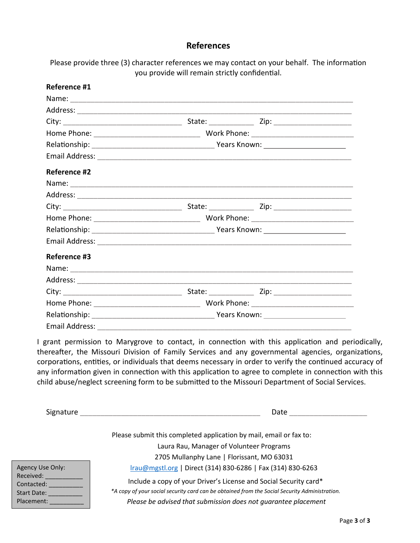## **References**

Please provide three (3) character references we may contact on your behalf. The information you provide will remain strictly confidential.

| Reference #1        |  |  |  |  |
|---------------------|--|--|--|--|
|                     |  |  |  |  |
|                     |  |  |  |  |
|                     |  |  |  |  |
|                     |  |  |  |  |
|                     |  |  |  |  |
|                     |  |  |  |  |
| <b>Reference #2</b> |  |  |  |  |
|                     |  |  |  |  |
|                     |  |  |  |  |
|                     |  |  |  |  |
|                     |  |  |  |  |
|                     |  |  |  |  |
|                     |  |  |  |  |
| Reference #3        |  |  |  |  |
|                     |  |  |  |  |
|                     |  |  |  |  |
|                     |  |  |  |  |
|                     |  |  |  |  |
|                     |  |  |  |  |
| Email Address:      |  |  |  |  |

I grant permission to Marygrove to contact, in connection with this application and periodically, thereafter, the Missouri Division of Family Services and any governmental agencies, organizations, corporations, entities, or individuals that deems necessary in order to verify the continued accuracy of any information given in connection with this application to agree to complete in connection with this child abuse/neglect screening form to be submitted to the Missouri Department of Social Services.

| Signature                              | Date                                                                                                                                                               |
|----------------------------------------|--------------------------------------------------------------------------------------------------------------------------------------------------------------------|
|                                        | Please submit this completed application by mail, email or fax to:                                                                                                 |
|                                        | Laura Rau, Manager of Volunteer Programs                                                                                                                           |
|                                        | 2705 Mullanphy Lane   Florissant, MO 63031                                                                                                                         |
| Agency Use Only:                       | Irau@mgstl.org   Direct (314) 830-6286   Fax (314) 830-6263                                                                                                        |
| Received:<br>Contacted:<br>Start Date: | Include a copy of your Driver's License and Social Security card*<br>*A copy of your social security card can be obtained from the Social Security Administration. |
| Placement:                             | Please be advised that submission does not quarantee placement                                                                                                     |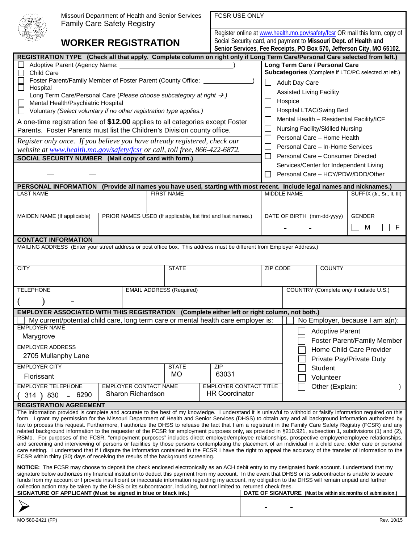| k<br>¢ |
|--------|
|--------|

Missouri Department of Health and Senior Services Family Care Sa

FCCR LICE ONLY

# **WORKER R**

| <b>Family Care Safety Registry</b>                                                                                                                                                                                                                                                                                                                                                                                                                                                                                                                                                                                                                                                                                                                                                                                                                                                                                                                                                                                                                                                                                                                                                                                                       | MISSOUTH Department of Health and Senior Services                                  | <b>FUSK USE UNLI</b>                                              |                         |                                                   |                        |                                                                             |  |
|------------------------------------------------------------------------------------------------------------------------------------------------------------------------------------------------------------------------------------------------------------------------------------------------------------------------------------------------------------------------------------------------------------------------------------------------------------------------------------------------------------------------------------------------------------------------------------------------------------------------------------------------------------------------------------------------------------------------------------------------------------------------------------------------------------------------------------------------------------------------------------------------------------------------------------------------------------------------------------------------------------------------------------------------------------------------------------------------------------------------------------------------------------------------------------------------------------------------------------------|------------------------------------------------------------------------------------|-------------------------------------------------------------------|-------------------------|---------------------------------------------------|------------------------|-----------------------------------------------------------------------------|--|
|                                                                                                                                                                                                                                                                                                                                                                                                                                                                                                                                                                                                                                                                                                                                                                                                                                                                                                                                                                                                                                                                                                                                                                                                                                          |                                                                                    |                                                                   |                         |                                                   |                        | Register online at www.health.mo.gov/safety/fcsr OR mail this form, copy of |  |
|                                                                                                                                                                                                                                                                                                                                                                                                                                                                                                                                                                                                                                                                                                                                                                                                                                                                                                                                                                                                                                                                                                                                                                                                                                          | <b>WORKER REGISTRATION</b>                                                         | Social Security card, and payment to Missouri Dept. of Health and |                         |                                                   |                        |                                                                             |  |
|                                                                                                                                                                                                                                                                                                                                                                                                                                                                                                                                                                                                                                                                                                                                                                                                                                                                                                                                                                                                                                                                                                                                                                                                                                          |                                                                                    |                                                                   |                         |                                                   |                        | Senior Services, Fee Receipts, PO Box 570, Jefferson City, MO 65102.        |  |
| REGISTRATION TYPE (Check all that apply. Complete column on right only if Long Term Care/Personal Care selected from left.)                                                                                                                                                                                                                                                                                                                                                                                                                                                                                                                                                                                                                                                                                                                                                                                                                                                                                                                                                                                                                                                                                                              |                                                                                    |                                                                   |                         |                                                   |                        |                                                                             |  |
| Adoptive Parent (Agency Name: _<br><b>Child Care</b>                                                                                                                                                                                                                                                                                                                                                                                                                                                                                                                                                                                                                                                                                                                                                                                                                                                                                                                                                                                                                                                                                                                                                                                     |                                                                                    |                                                                   |                         | Long Term Care / Personal Care                    |                        | Subcategories (Complete if LTC/PC selected at left.)                        |  |
|                                                                                                                                                                                                                                                                                                                                                                                                                                                                                                                                                                                                                                                                                                                                                                                                                                                                                                                                                                                                                                                                                                                                                                                                                                          | Foster Parent/Family Member of Foster Parent (County Office: _                     |                                                                   |                         |                                                   |                        |                                                                             |  |
| $\Box$<br>Hospital                                                                                                                                                                                                                                                                                                                                                                                                                                                                                                                                                                                                                                                                                                                                                                                                                                                                                                                                                                                                                                                                                                                                                                                                                       |                                                                                    |                                                                   |                         | Adult Day Care<br><b>Assisted Living Facility</b> |                        |                                                                             |  |
| Long Term Care/Personal Care (Please choose subcategory at right →.)                                                                                                                                                                                                                                                                                                                                                                                                                                                                                                                                                                                                                                                                                                                                                                                                                                                                                                                                                                                                                                                                                                                                                                     |                                                                                    |                                                                   | Hospice                 |                                                   |                        |                                                                             |  |
| Mental Health/Psychiatric Hospital<br>Voluntary (Select voluntary if no other registration type applies.)                                                                                                                                                                                                                                                                                                                                                                                                                                                                                                                                                                                                                                                                                                                                                                                                                                                                                                                                                                                                                                                                                                                                |                                                                                    |                                                                   | Hospital LTAC/Swing Bed |                                                   |                        |                                                                             |  |
| A one-time registration fee of \$12.00 applies to all categories except Foster                                                                                                                                                                                                                                                                                                                                                                                                                                                                                                                                                                                                                                                                                                                                                                                                                                                                                                                                                                                                                                                                                                                                                           |                                                                                    |                                                                   |                         |                                                   |                        | Mental Health - Residential Facility/ICF                                    |  |
| Parents. Foster Parents must list the Children's Division county office.                                                                                                                                                                                                                                                                                                                                                                                                                                                                                                                                                                                                                                                                                                                                                                                                                                                                                                                                                                                                                                                                                                                                                                 |                                                                                    |                                                                   |                         | Nursing Facility/Skilled Nursing                  |                        |                                                                             |  |
| Register only once. If you believe you have already registered, check our                                                                                                                                                                                                                                                                                                                                                                                                                                                                                                                                                                                                                                                                                                                                                                                                                                                                                                                                                                                                                                                                                                                                                                |                                                                                    |                                                                   |                         | Personal Care - Home Health                       |                        |                                                                             |  |
| website at www.health.mo.gov/safety/fcsr or call, toll free, 866-422-6872.                                                                                                                                                                                                                                                                                                                                                                                                                                                                                                                                                                                                                                                                                                                                                                                                                                                                                                                                                                                                                                                                                                                                                               |                                                                                    |                                                                   |                         | Personal Care - In-Home Services                  |                        |                                                                             |  |
| SOCIAL SECURITY NUMBER (Mail copy of card with form.)                                                                                                                                                                                                                                                                                                                                                                                                                                                                                                                                                                                                                                                                                                                                                                                                                                                                                                                                                                                                                                                                                                                                                                                    |                                                                                    |                                                                   | $\mathbf{1}$            | Personal Care - Consumer Directed                 |                        |                                                                             |  |
|                                                                                                                                                                                                                                                                                                                                                                                                                                                                                                                                                                                                                                                                                                                                                                                                                                                                                                                                                                                                                                                                                                                                                                                                                                          |                                                                                    |                                                                   |                         |                                                   |                        | Services/Center for Independent Living                                      |  |
|                                                                                                                                                                                                                                                                                                                                                                                                                                                                                                                                                                                                                                                                                                                                                                                                                                                                                                                                                                                                                                                                                                                                                                                                                                          |                                                                                    |                                                                   | $\mathbf{L}$            |                                                   |                        | Personal Care - HCY/PDW/DDD/Other                                           |  |
| PERSONAL INFORMATION (Provide all names you have used, starting with most recent. Include legal names and nicknames.)                                                                                                                                                                                                                                                                                                                                                                                                                                                                                                                                                                                                                                                                                                                                                                                                                                                                                                                                                                                                                                                                                                                    |                                                                                    |                                                                   |                         |                                                   |                        |                                                                             |  |
| <b>LAST NAME</b>                                                                                                                                                                                                                                                                                                                                                                                                                                                                                                                                                                                                                                                                                                                                                                                                                                                                                                                                                                                                                                                                                                                                                                                                                         | <b>FIRST NAME</b>                                                                  |                                                                   | MIDDLE NAME             |                                                   |                        | SUFFIX (Jr., Sr., II, III)                                                  |  |
|                                                                                                                                                                                                                                                                                                                                                                                                                                                                                                                                                                                                                                                                                                                                                                                                                                                                                                                                                                                                                                                                                                                                                                                                                                          |                                                                                    |                                                                   |                         |                                                   |                        |                                                                             |  |
| MAIDEN NAME (If applicable)                                                                                                                                                                                                                                                                                                                                                                                                                                                                                                                                                                                                                                                                                                                                                                                                                                                                                                                                                                                                                                                                                                                                                                                                              | PRIOR NAMES USED (If applicable, list first and last names.)                       |                                                                   |                         | DATE OF BIRTH (mm-dd-yyyy)                        |                        | <b>GENDER</b>                                                               |  |
|                                                                                                                                                                                                                                                                                                                                                                                                                                                                                                                                                                                                                                                                                                                                                                                                                                                                                                                                                                                                                                                                                                                                                                                                                                          |                                                                                    |                                                                   |                         |                                                   |                        | F<br>M<br>$\vert \ \ \vert$                                                 |  |
|                                                                                                                                                                                                                                                                                                                                                                                                                                                                                                                                                                                                                                                                                                                                                                                                                                                                                                                                                                                                                                                                                                                                                                                                                                          |                                                                                    |                                                                   |                         |                                                   |                        |                                                                             |  |
| <b>CONTACT INFORMATION</b><br>MAILING ADDRESS (Enter your street address or post office box. This address must be different from Employer Address.)                                                                                                                                                                                                                                                                                                                                                                                                                                                                                                                                                                                                                                                                                                                                                                                                                                                                                                                                                                                                                                                                                      |                                                                                    |                                                                   |                         |                                                   |                        |                                                                             |  |
|                                                                                                                                                                                                                                                                                                                                                                                                                                                                                                                                                                                                                                                                                                                                                                                                                                                                                                                                                                                                                                                                                                                                                                                                                                          |                                                                                    |                                                                   |                         |                                                   |                        |                                                                             |  |
|                                                                                                                                                                                                                                                                                                                                                                                                                                                                                                                                                                                                                                                                                                                                                                                                                                                                                                                                                                                                                                                                                                                                                                                                                                          |                                                                                    |                                                                   |                         |                                                   |                        |                                                                             |  |
| <b>CITY</b>                                                                                                                                                                                                                                                                                                                                                                                                                                                                                                                                                                                                                                                                                                                                                                                                                                                                                                                                                                                                                                                                                                                                                                                                                              | <b>STATE</b>                                                                       |                                                                   | <b>ZIP CODE</b>         |                                                   | <b>COUNTY</b>          |                                                                             |  |
|                                                                                                                                                                                                                                                                                                                                                                                                                                                                                                                                                                                                                                                                                                                                                                                                                                                                                                                                                                                                                                                                                                                                                                                                                                          |                                                                                    |                                                                   |                         |                                                   |                        |                                                                             |  |
| <b>TELEPHONE</b>                                                                                                                                                                                                                                                                                                                                                                                                                                                                                                                                                                                                                                                                                                                                                                                                                                                                                                                                                                                                                                                                                                                                                                                                                         | <b>EMAIL ADDRESS (Required)</b>                                                    |                                                                   |                         |                                                   |                        | COUNTRY (Complete only if outside U.S.)                                     |  |
|                                                                                                                                                                                                                                                                                                                                                                                                                                                                                                                                                                                                                                                                                                                                                                                                                                                                                                                                                                                                                                                                                                                                                                                                                                          |                                                                                    |                                                                   |                         |                                                   |                        |                                                                             |  |
| EMPLOYER ASSOCIATED WITH THIS REGISTRATION (Complete either left or right column, not both.)                                                                                                                                                                                                                                                                                                                                                                                                                                                                                                                                                                                                                                                                                                                                                                                                                                                                                                                                                                                                                                                                                                                                             |                                                                                    |                                                                   |                         |                                                   |                        |                                                                             |  |
|                                                                                                                                                                                                                                                                                                                                                                                                                                                                                                                                                                                                                                                                                                                                                                                                                                                                                                                                                                                                                                                                                                                                                                                                                                          | My current/potential child care, long term care or mental health care employer is: |                                                                   |                         |                                                   |                        | No Employer, because I am $a(n)$ :                                          |  |
| <b>EMPLOYER NAME</b>                                                                                                                                                                                                                                                                                                                                                                                                                                                                                                                                                                                                                                                                                                                                                                                                                                                                                                                                                                                                                                                                                                                                                                                                                     |                                                                                    |                                                                   |                         |                                                   | <b>Adoptive Parent</b> |                                                                             |  |
| Marygrove                                                                                                                                                                                                                                                                                                                                                                                                                                                                                                                                                                                                                                                                                                                                                                                                                                                                                                                                                                                                                                                                                                                                                                                                                                |                                                                                    |                                                                   |                         |                                                   |                        | Foster Parent/Family Member                                                 |  |
| <b>EMPLOYER ADDRESS</b>                                                                                                                                                                                                                                                                                                                                                                                                                                                                                                                                                                                                                                                                                                                                                                                                                                                                                                                                                                                                                                                                                                                                                                                                                  |                                                                                    |                                                                   |                         |                                                   |                        | Home Child Care Provider                                                    |  |
| 2705 Mullanphy Lane                                                                                                                                                                                                                                                                                                                                                                                                                                                                                                                                                                                                                                                                                                                                                                                                                                                                                                                                                                                                                                                                                                                                                                                                                      |                                                                                    |                                                                   |                         |                                                   |                        | Private Pay/Private Duty                                                    |  |
| <b>EMPLOYER CITY</b>                                                                                                                                                                                                                                                                                                                                                                                                                                                                                                                                                                                                                                                                                                                                                                                                                                                                                                                                                                                                                                                                                                                                                                                                                     | <b>STATE</b>                                                                       | ZIP                                                               |                         |                                                   | Student                |                                                                             |  |
| Florissant                                                                                                                                                                                                                                                                                                                                                                                                                                                                                                                                                                                                                                                                                                                                                                                                                                                                                                                                                                                                                                                                                                                                                                                                                               | MO                                                                                 | 63031                                                             |                         |                                                   | Volunteer              |                                                                             |  |
| <b>EMPLOYER TELEPHONE</b>                                                                                                                                                                                                                                                                                                                                                                                                                                                                                                                                                                                                                                                                                                                                                                                                                                                                                                                                                                                                                                                                                                                                                                                                                | EMPLOYER CONTACT NAME                                                              | <b>EMPLOYER CONTACT TITLE</b>                                     |                         |                                                   | Other (Explain:        |                                                                             |  |
| 6290<br>(314)830                                                                                                                                                                                                                                                                                                                                                                                                                                                                                                                                                                                                                                                                                                                                                                                                                                                                                                                                                                                                                                                                                                                                                                                                                         | Sharon Richardson                                                                  | <b>HR Coordinator</b>                                             |                         |                                                   |                        |                                                                             |  |
| <b>REGISTRATION AGREEMENT</b>                                                                                                                                                                                                                                                                                                                                                                                                                                                                                                                                                                                                                                                                                                                                                                                                                                                                                                                                                                                                                                                                                                                                                                                                            |                                                                                    |                                                                   |                         |                                                   |                        |                                                                             |  |
| The information provided is complete and accurate to the best of my knowledge. I understand it is unlawful to withhold or falsify information required on this<br>form. I grant my permission for the Missouri Department of Health and Senior Services (DHSS) to obtain any and all background information authorized by<br>law to process this request. Furthermore, I authorize the DHSS to release the fact that I am a registrant in the Family Care Safety Registry (FCSR) and any<br>related background information to the requester of the FCSR for employment purposes only, as provided in §210.921, subsection 1, subdivisions (1) and (2),<br>RSMo. For purposes of the FCSR, "employment purposes" includes direct employer/employee relationships, prospective employer/employee relationships,<br>and screening and interviewing of persons or facilities by those persons contemplating the placement of an individual in a child care, elder care or personal<br>care setting. I understand that if I dispute the information contained in the FCSR I have the right to appeal the accuracy of the transfer of information to the<br>FCSR within thirty (30) days of receiving the results of the background screening. |                                                                                    |                                                                   |                         |                                                   |                        |                                                                             |  |
| NOTICE: The FCSR may choose to deposit the check enclosed electronically as an ACH debit entry to my designated bank account. I understand that my<br>signature below authorizes my financial institution to deduct this payment from my account. In the event that DHSS or its subcontractor is unable to secure<br>funds from my account or I provide insufficient or inaccurate information regarding my account, my obligation to the DHSS will remain unpaid and further                                                                                                                                                                                                                                                                                                                                                                                                                                                                                                                                                                                                                                                                                                                                                            |                                                                                    |                                                                   |                         |                                                   |                        |                                                                             |  |

collection action may be taken by the DHSS or its subcontractor, including, but not limited to, returned check fees.<br>
SIGNATURE OF APPLICANT (Must be signed in blue or black ink.)<br>
DATE OF SIGNATURE (Must be within six mon **SIGNATURE OF APPLICANT (Must be signed in blue or black ink.)**  $\blacktriangleright$